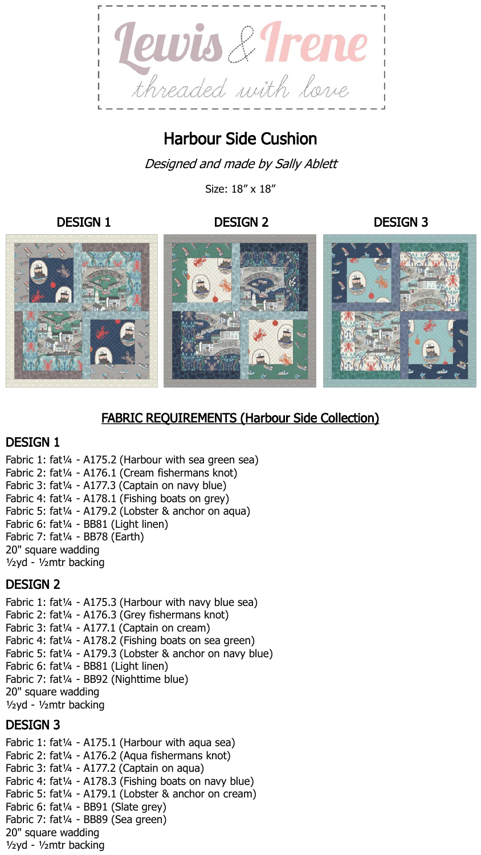

# Harbour Side Cushion

Designed and made by Sally Ablett

Size: 18" x 18"

#### DESIGN 1 DESIGN 2 DESIGN 3



# FABRIC REQUIREMENTS (Harbour Side Collection)

### DESIGN 1

Fabric 1: fat¼ - A175.2 (Harbour with sea green sea) Fabric 2: fat¼ - A176.1 (Cream fishermans knot) Fabric 3: fat¼ - A177.3 (Captain on navy blue) Fabric 4: fat1/4 - A178.1 (Fishing boats on grey) Fabric 5: fat¼ - A179.2 (Lobster & anchor on aqua) Fabric 6: fat¼ - BB81 (Light linen) Fabric 7: fat¼ - BB78 (Earth) 20" square wadding ½yd - ½mtr backing

### DESIGN 2

Fabric 1: fat<sup>1/4</sup> - A175.3 (Harbour with navy blue sea) Fabric 2: fat¼ - A176.3 (Grey fishermans knot) Fabric 3: fat1/4 - A177.1 (Captain on cream) Fabric 4: fat1/4 - A178.2 (Fishing boats on sea green) Fabric 5: fat1/4 - A179.3 (Lobster & anchor on navy blue) Fabric 6: fat¼ - BB81 (Light linen) Fabric 7: fat¼ - BB92 (Nighttime blue) 20" square wadding ½yd - ½mtr backing

### DESIGN 3

Fabric 1: fat $\frac{1}{4}$  - A175.1 (Harbour with aqua sea) Fabric 2: fat¼ - A176.2 (Aqua fishermans knot) Fabric 3: fat<sup>1/4</sup> - A177.2 (Captain on aqua) Fabric 4: fat¼ - A178.3 (Fishing boats on navy blue) Fabric 5: fat¼ - A179.1 (Lobster & anchor on cream) Fabric 6: fat¼ - BB91 (Slate grey) Fabric 7: fat¼ - BB89 (Sea green) 20" square wadding ½yd - ½mtr backing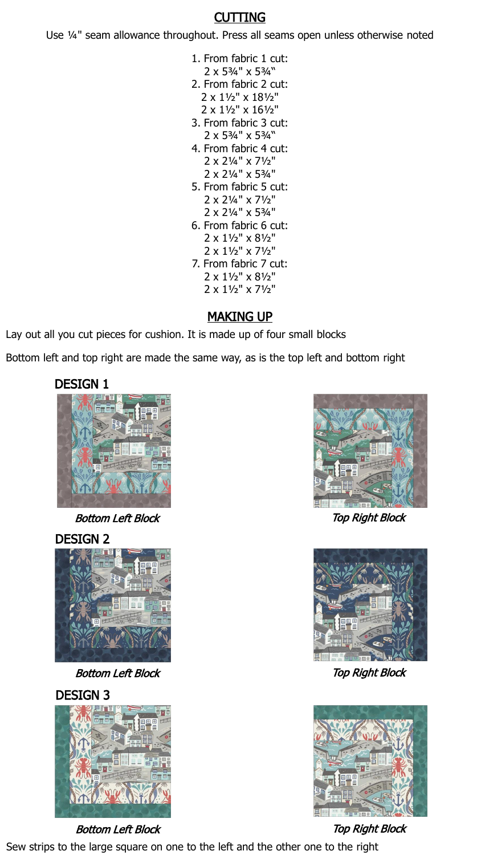## **CUTTING**

Use ¼" seam allowance throughout. Press all seams open unless otherwise noted

- 1. From fabric 1 cut: 2 x 5¾" x 5¾"
- 2. From fabric 2 cut: 2 x 1½" x 18½" 2 x 1½" x 16½"
- 3. From fabric 3 cut: 2 x 5¾" x 5¾"
- 4. From fabric 4 cut: 2 x 2¼" x 7½" 2 x 2¼" x 5¾"
- 5. From fabric 5 cut: 2 x 2¼" x 7½" 2 x 2¼" x 5¾"
- 6. From fabric 6 cut: 2 x 1½" x 8½"
	- 2 x 1½" x 7½"
- 7. From fabric 7 cut:
	- 2 x 1½" x 8½" 2 x 1½" x 7½"

# **MAKING UP**

Lay out all you cut pieces for cushion. It is made up of four small blocks

Bottom left and top right are made the same way, as is the top left and bottom right



Bottom Left Block Top Right Block

DESIGN 2



Bottom Left Block Top Right Block

DESIGN 3



Bottom Left Block Top Right Block







Sew strips to the large square on one to the left and the other one to the right